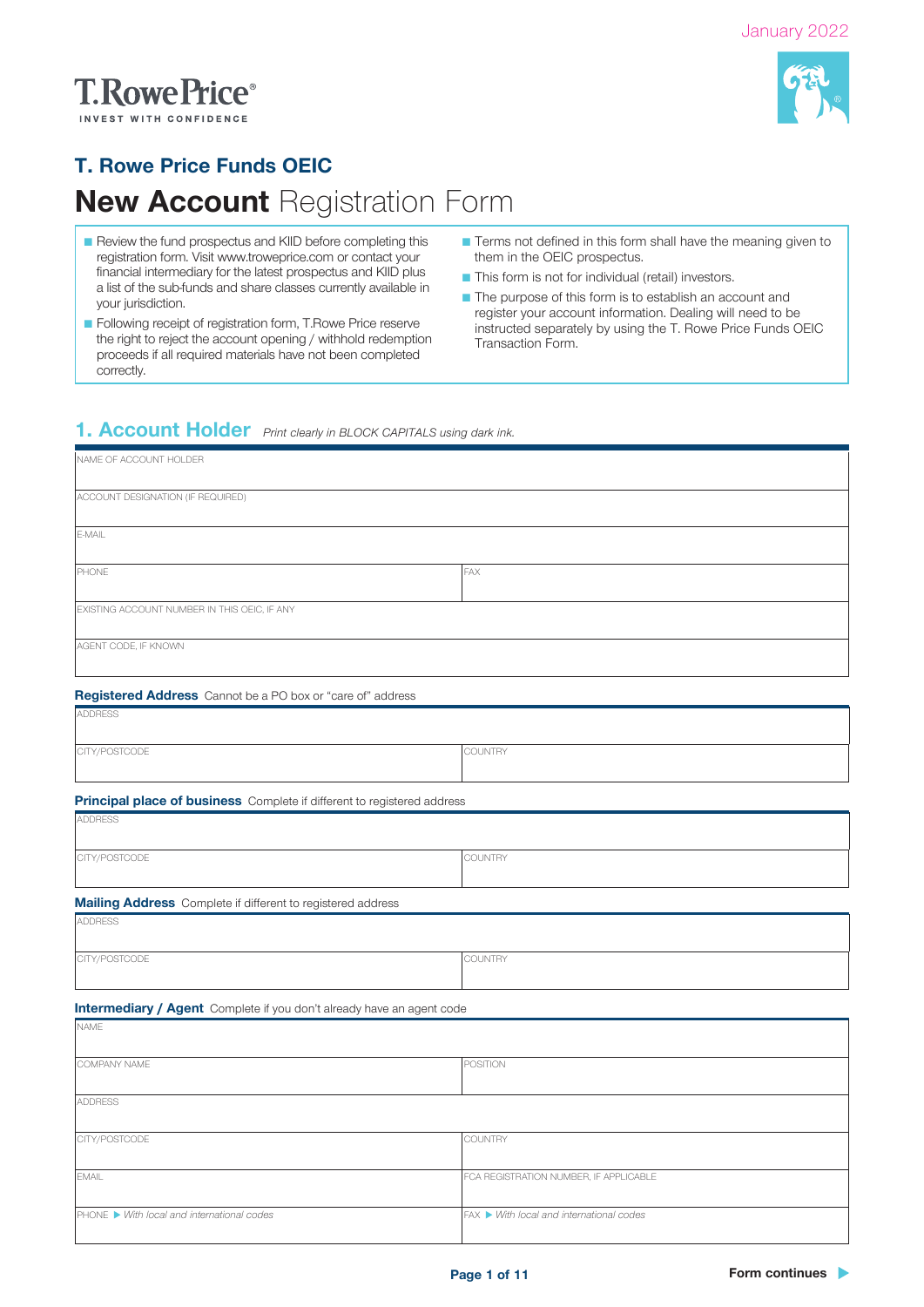# **T.RowePrice**®



### T. Rowe Price Funds OEIC

## **New Account Registration Form**

- Review the fund prospectus and KIID before completing this registration form. Visit www.troweprice.com or contact your financial intermediary for the latest prospectus and KIID plus a list of the sub-funds and share classes currently available in your jurisdiction.
- Following receipt of registration form, T.Rowe Price reserve the right to reject the account opening / withhold redemption proceeds if all required materials have not been completed correctly.
- Terms not defined in this form shall have the meaning given to them in the OEIC prospectus.
- This form is not for individual (retail) investors.
- The purpose of this form is to establish an account and register your account information. Dealing will need to be instructed separately by using the T. Rowe Price Funds OEIC Transaction Form.

### 1. Account Holder *Print clearly in BLOCK CAPITALS using dark ink.*

| NAME OF ACCOUNT HOLDER                                                  |                                          |  |
|-------------------------------------------------------------------------|------------------------------------------|--|
| ACCOUNT DESIGNATION (IF REQUIRED)                                       |                                          |  |
|                                                                         |                                          |  |
| E-MAIL                                                                  |                                          |  |
|                                                                         |                                          |  |
| PHONE                                                                   | FAX                                      |  |
| EXISTING ACCOUNT NUMBER IN THIS OEIC, IF ANY                            |                                          |  |
|                                                                         |                                          |  |
| AGENT CODE, IF KNOWN                                                    |                                          |  |
| Registered Address Cannot be a PO box or "care of" address              |                                          |  |
| <b>ADDRESS</b>                                                          |                                          |  |
|                                                                         |                                          |  |
| CITY/POSTCODE                                                           | COUNTRY                                  |  |
|                                                                         |                                          |  |
| Principal place of business Complete if different to registered address |                                          |  |
| <b>ADDRESS</b>                                                          |                                          |  |
|                                                                         |                                          |  |
| CITY/POSTCODE                                                           | COUNTRY                                  |  |
|                                                                         |                                          |  |
| Mailing Address Complete if different to registered address             |                                          |  |
| <b>ADDRESS</b>                                                          |                                          |  |
| CITY/POSTCODE                                                           | COUNTRY                                  |  |
|                                                                         |                                          |  |
|                                                                         |                                          |  |
| Intermediary / Agent Complete if you don't already have an agent code   |                                          |  |
| NAME                                                                    |                                          |  |
| COMPANY NAME                                                            | POSITION                                 |  |
|                                                                         |                                          |  |
| <b>ADDRESS</b>                                                          |                                          |  |
|                                                                         |                                          |  |
| CITY/POSTCODE                                                           | COUNTRY                                  |  |
| EMAIL                                                                   | FCA REGISTRATION NUMBER, IF APPLICABLE   |  |
|                                                                         |                                          |  |
| PHONE ▶ With local and international codes                              | FAX ▶ With local and international codes |  |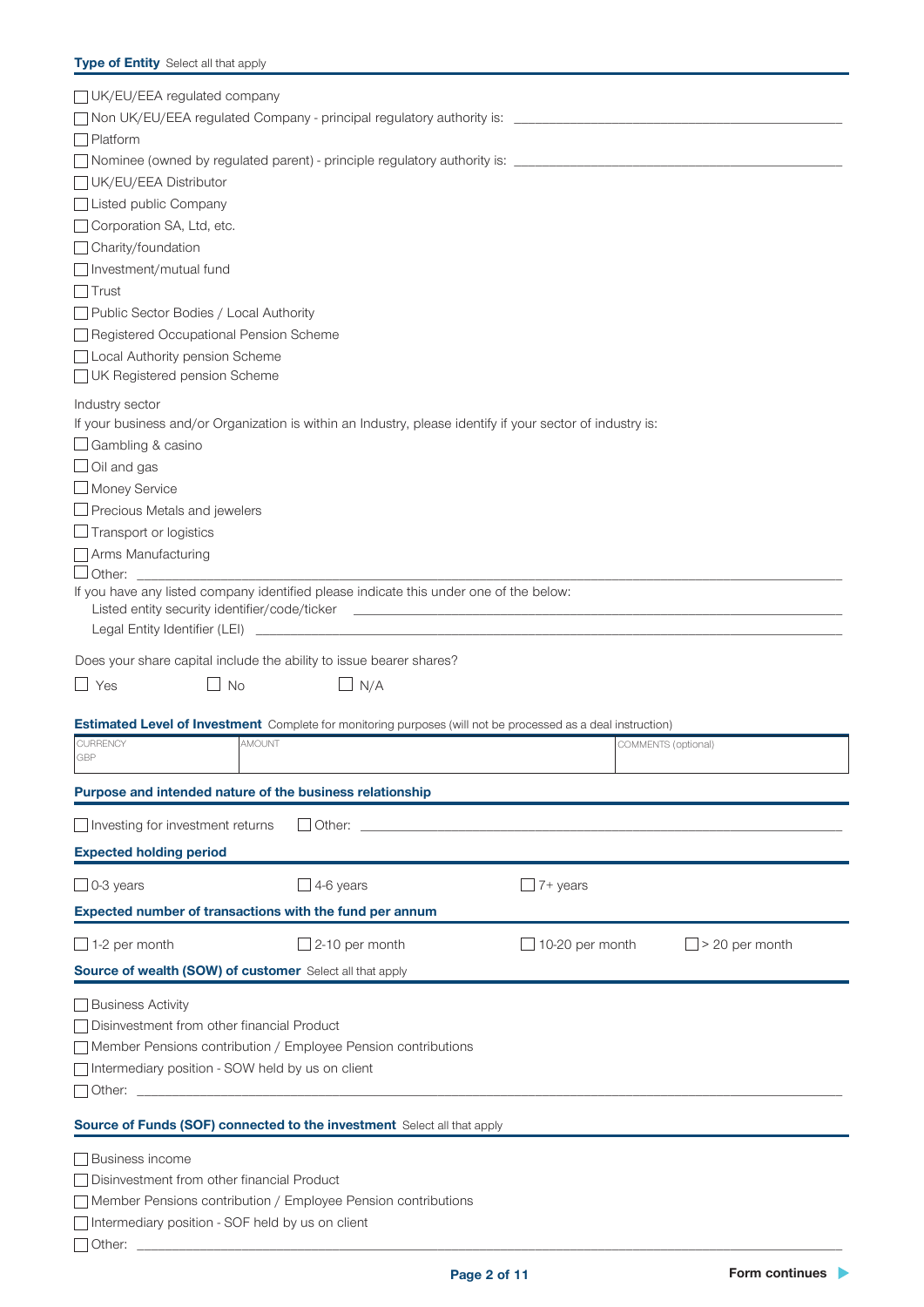### **Type of Entity** Select all that apply

| UK/EU/EEA regulated company                                                                                         |                          |                 |                       |
|---------------------------------------------------------------------------------------------------------------------|--------------------------|-----------------|-----------------------|
|                                                                                                                     |                          |                 |                       |
| $\Box$ Platform                                                                                                     |                          |                 |                       |
| □ Nominee (owned by regulated parent) - principle regulatory authority is: ________________________                 |                          |                 |                       |
| UK/EU/EEA Distributor                                                                                               |                          |                 |                       |
| □ Listed public Company                                                                                             |                          |                 |                       |
| Corporation SA, Ltd, etc.                                                                                           |                          |                 |                       |
| □ Charity/foundation                                                                                                |                          |                 |                       |
| $\Box$ Investment/mutual fund                                                                                       |                          |                 |                       |
| $\Box$ Trust                                                                                                        |                          |                 |                       |
| Public Sector Bodies / Local Authority                                                                              |                          |                 |                       |
| Registered Occupational Pension Scheme                                                                              |                          |                 |                       |
| □ Local Authority pension Scheme                                                                                    |                          |                 |                       |
| UK Registered pension Scheme                                                                                        |                          |                 |                       |
| Industry sector                                                                                                     |                          |                 |                       |
| If your business and/or Organization is within an Industry, please identify if your sector of industry is:          |                          |                 |                       |
| $\Box$ Gambling & casino                                                                                            |                          |                 |                       |
| $\Box$ Oil and gas                                                                                                  |                          |                 |                       |
| $\Box$ Money Service                                                                                                |                          |                 |                       |
| $\Box$ Precious Metals and jewelers                                                                                 |                          |                 |                       |
| $\Box$ Transport or logistics                                                                                       |                          |                 |                       |
| Arms Manufacturing                                                                                                  |                          |                 |                       |
| $\Box$ Other:                                                                                                       |                          |                 |                       |
| If you have any listed company identified please indicate this under one of the below:                              |                          |                 |                       |
|                                                                                                                     |                          |                 |                       |
|                                                                                                                     |                          |                 |                       |
| Does your share capital include the ability to issue bearer shares?                                                 |                          |                 |                       |
|                                                                                                                     |                          |                 |                       |
|                                                                                                                     |                          |                 |                       |
| $\Box$ Yes<br>$\Box$ No                                                                                             | $\Box$ N/A               |                 |                       |
| <b>Estimated Level of Investment</b> Complete for monitoring purposes (will not be processed as a deal instruction) |                          |                 |                       |
| <b>CURRENCY</b><br>AMOUNT                                                                                           |                          |                 | COMMENTS (optional)   |
| GBP                                                                                                                 |                          |                 |                       |
| Purpose and intended nature of the business relationship                                                            |                          |                 |                       |
| Investing for investment returns                                                                                    | $\Box$ Other:            |                 |                       |
| <b>Expected holding period</b>                                                                                      |                          |                 |                       |
| $\Box$ 0-3 years                                                                                                    | $\Box$ 4-6 years         | $\Box$ 7+ years |                       |
| Expected number of transactions with the fund per annum                                                             |                          |                 |                       |
| $\Box$ 1-2 per month                                                                                                | $\sqrt{2}$ -10 per month | 10-20 per month | $\Box$ > 20 per month |
| Source of wealth (SOW) of customer Select all that apply                                                            |                          |                 |                       |
|                                                                                                                     |                          |                 |                       |
| □ Business Activity                                                                                                 |                          |                 |                       |
| □ Disinvestment from other financial Product                                                                        |                          |                 |                       |
| Member Pensions contribution / Employee Pension contributions                                                       |                          |                 |                       |
| Intermediary position - SOW held by us on client                                                                    |                          |                 |                       |
| Other: ____________                                                                                                 |                          |                 |                       |
| Source of Funds (SOF) connected to the investment Select all that apply                                             |                          |                 |                       |
| Business income                                                                                                     |                          |                 |                       |
| □ Disinvestment from other financial Product                                                                        |                          |                 |                       |
| Member Pensions contribution / Employee Pension contributions                                                       |                          |                 |                       |
| Intermediary position - SOF held by us on client                                                                    |                          |                 |                       |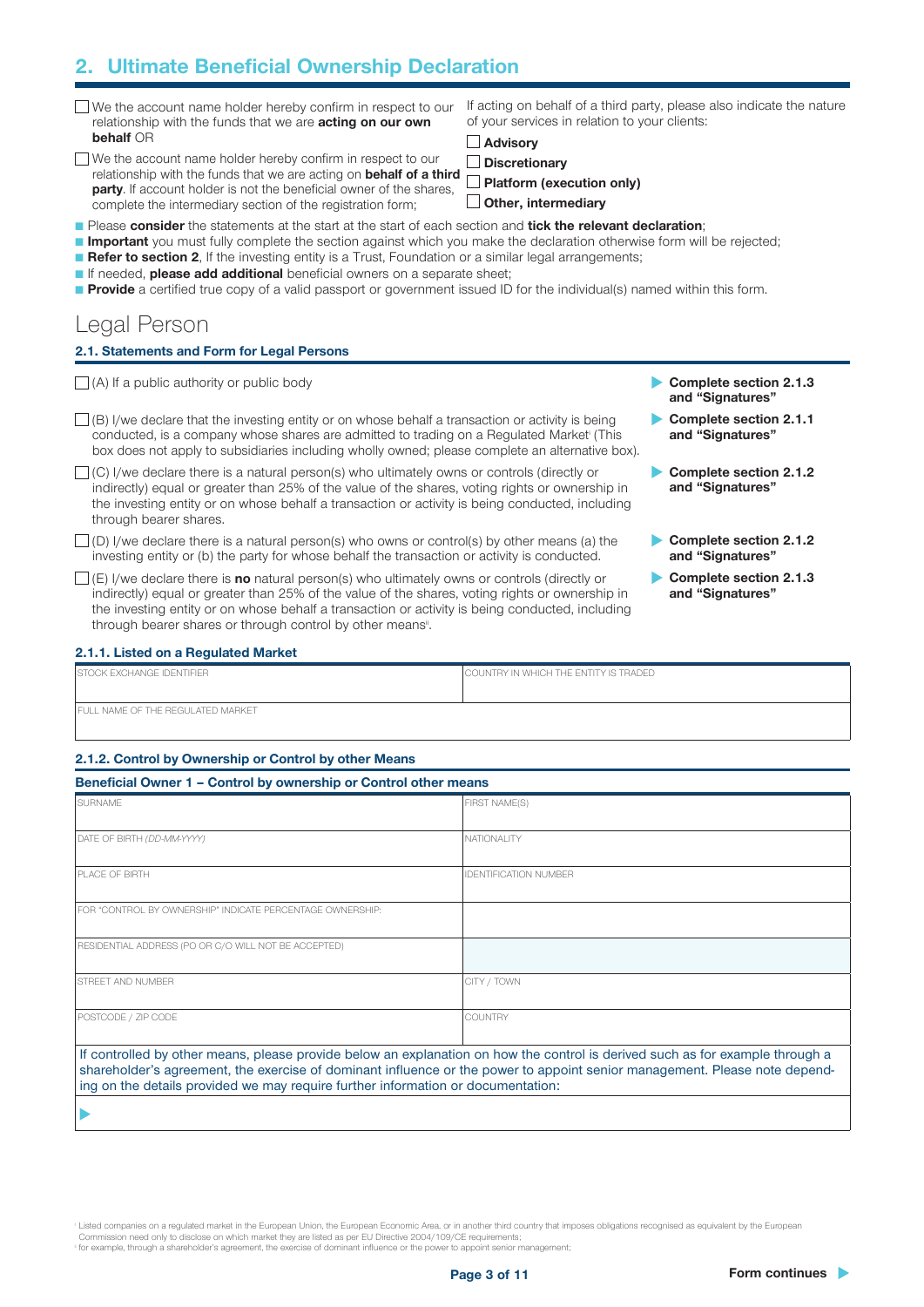### 2. Ultimate Beneficial Ownership Declaration

- We the account name holder hereby confirm in respect to our relationship with the funds that we are **acting on our own** behalf OR
- We the account name holder hereby confirm in respect to our relationship with the funds that we are acting on behalf of a third party. If account holder is not the beneficial owner of the shares, complete the intermediary section of the registration form;

If acting on behalf of a third party, please also indicate the nature of your services in relation to your clients:

■ Advisory

Discretionary

Platform (execution only)  $\Box$  Other, intermediary

- Please consider the statements at the start at the start of each section and tick the relevant declaration;
- **Important** you must fully complete the section against which you make the declaration otherwise form will be rejected;
- Refer to section 2, If the investing entity is a Trust, Foundation or a similar legal arrangements;
- If needed, **please add additional** beneficial owners on a separate sheet;
- Provide a certified true copy of a valid passport or government issued ID for the individual(s) named within this form.

### Legal Person

### 2.1. Statements and Form for Legal Persons

 $\Box$  (A) If a public authority or public body  $\Box$  (A) If a public authority or public body

- $\Box$  (B) I/we declare that the investing entity or on whose behalf a transaction or activity is being conducted, is a company whose shares are admitted to trading on a Regulated Marketi (This box does not apply to subsidiaries including wholly owned; please complete an alternative box).
- $\Box$  (C) I/we declare there is a natural person(s) who ultimately owns or controls (directly or indirectly) equal or greater than 25% of the value of the shares, voting rights or ownership in the investing entity or on whose behalf a transaction or activity is being conducted, including through bearer shares.
- $\Box$  (D) I/we declare there is a natural person(s) who owns or control(s) by other means (a) the investing entity or (b) the party for whose behalf the transaction or activity is conducted.
- $\Box$  (E) I/we declare there is **no** natural person(s) who ultimately owns or controls (directly or indirectly) equal or greater than 25% of the value of the shares, voting rights or ownership in the investing entity or on whose behalf a transaction or activity is being conducted, including through bearer shares or through control by other means<sup>®</sup>.
- and "Signatures"
- Complete section 2.1.1 and "Signatures"
- Complete section 2.1.2 and "Signatures"
- Complete section 2.1.2 and "Signatures"
- Complete section 2.1.3 and "Signatures"

### 2.1.1. Listed on a Regulated Market

| <b>ISTOCK EXCHANGE IDENTIFIER</b>        | COUNTRY IN WHICH THE ENTITY IS TRADED |
|------------------------------------------|---------------------------------------|
| <b>FULL NAME OF THE REGULATED MARKET</b> |                                       |

### 2.1.2. Control by Ownership or Control by other Means

| <b>SURNAME</b>                                                                                                                                                                                                 | FIRST NAME(S)                                                                                                                 |  |
|----------------------------------------------------------------------------------------------------------------------------------------------------------------------------------------------------------------|-------------------------------------------------------------------------------------------------------------------------------|--|
| DATE OF BIRTH (DD-MM-YYYY)                                                                                                                                                                                     | NATIONALITY                                                                                                                   |  |
| <b>PLACE OF BIRTH</b>                                                                                                                                                                                          | <b>IDENTIFICATION NUMBER</b>                                                                                                  |  |
| FOR "CONTROL BY OWNERSHIP" INDICATE PERCENTAGE OWNERSHIP:                                                                                                                                                      |                                                                                                                               |  |
| RESIDENTIAL ADDRESS (PO OR C/O WILL NOT BE ACCEPTED)                                                                                                                                                           |                                                                                                                               |  |
| <b>STREET AND NUMBER</b>                                                                                                                                                                                       | CITY / TOWN                                                                                                                   |  |
| POSTCODE / ZIP CODE                                                                                                                                                                                            | <b>COUNTRY</b>                                                                                                                |  |
|                                                                                                                                                                                                                | If controlled by other means, please provide below an explanation on how the control is derived such as for example through a |  |
| shareholder's agreement, the exercise of dominant influence or the power to appoint senior management. Please note depend-<br>ing on the details provided we may require further information or documentation: |                                                                                                                               |  |

<sup>1</sup> Listed companies on a regulated market in the European Union, the European Economic Area, or in another third country that imposes obligations recognised as equivalent by the European Commission need only to disclose on which market they are listed as per EU Directive 2004/109/CE requirements;

for example, through a shareholder's agreement, the exercise of dominant influence or the power to appoint senior management;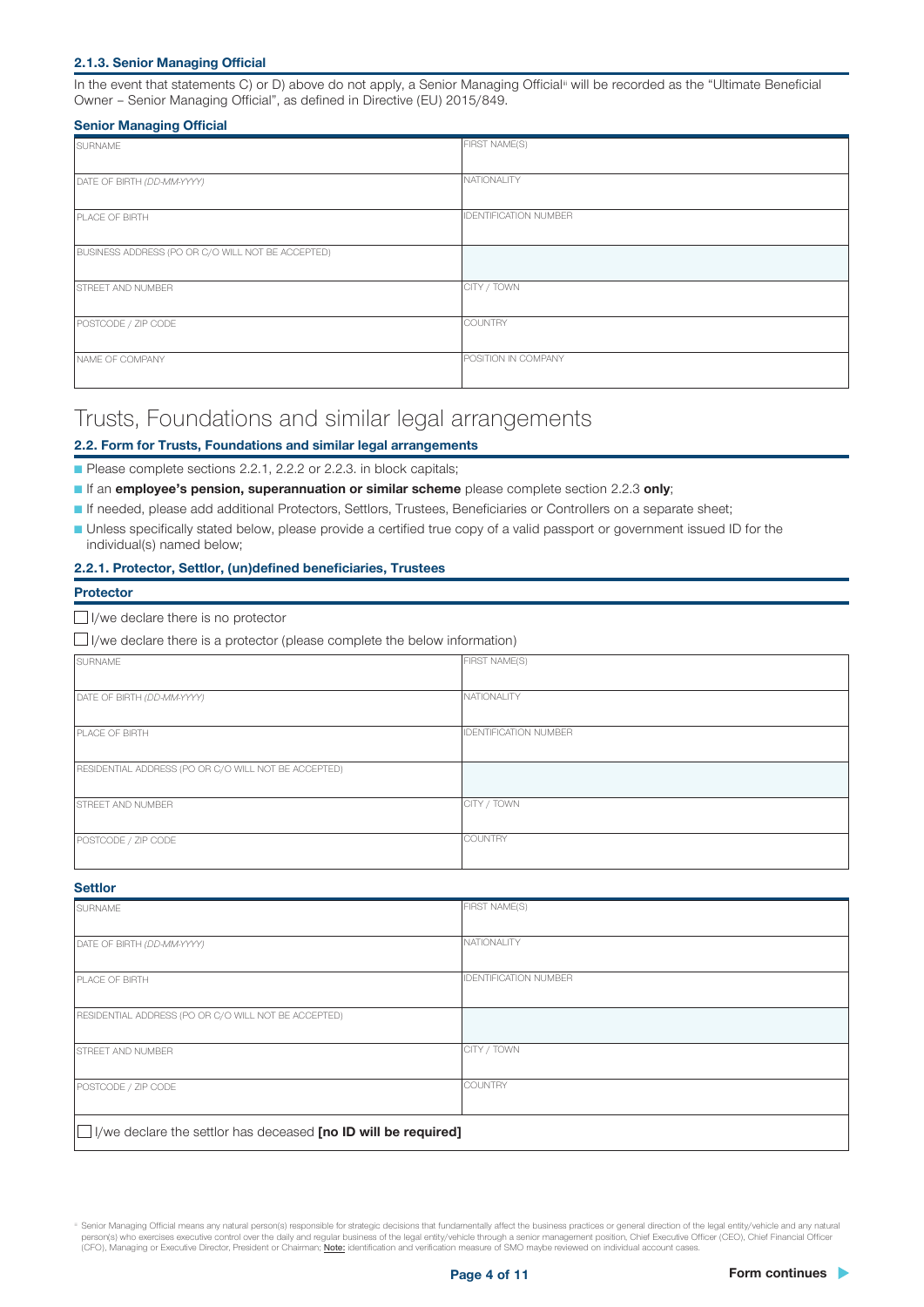### 2.1.3. Senior Managing Official

In the event that statements C) or D) above do not apply, a Senior Managing Official<sup>ii</sup> will be recorded as the "Ultimate Beneficial Owner – Senior Managing Official", as defined in Directive (EU) 2015/849.

### Senior Managing Official

| <b>SURNAME</b>                                    | <b>FIRST NAME(S)</b>         |
|---------------------------------------------------|------------------------------|
|                                                   |                              |
| DATE OF BIRTH (DD-MM-YYYY)                        | NATIONALITY                  |
|                                                   |                              |
| PLACE OF BIRTH                                    | <b>IDENTIFICATION NUMBER</b> |
| BUSINESS ADDRESS (PO OR C/O WILL NOT BE ACCEPTED) |                              |
| <b>STREET AND NUMBER</b>                          | CITY / TOWN                  |
| POSTCODE / ZIP CODE                               | COUNTRY                      |
| NAME OF COMPANY                                   | POSITION IN COMPANY          |

### Trusts, Foundations and similar legal arrangements

### 2.2. Form for Trusts, Foundations and similar legal arrangements

■ Please complete sections 2.2.1, 2.2.2 or 2.2.3. in block capitals;

- **If an employee's pension, superannuation or similar scheme** please complete section 2.2.3 only;
- If needed, please add additional Protectors, Settlors, Trustees, Beneficiaries or Controllers on a separate sheet;
- Unless specifically stated below, please provide a certified true copy of a valid passport or government issued ID for the individual(s) named below;

### 2.2.1. Protector, Settlor, (un)defined beneficiaries, Trustees

#### **Protector**

I/we declare there is no protector

 $\Box$  I/we declare there is a protector (please complete the below information)

| SURNAME                                              | FIRST NAME(S)                |
|------------------------------------------------------|------------------------------|
|                                                      |                              |
|                                                      |                              |
|                                                      |                              |
| DATE OF BIRTH (DD-MM-YYYY)                           | NATIONALITY                  |
|                                                      |                              |
|                                                      |                              |
| PLACE OF BIRTH                                       | <b>IDENTIFICATION NUMBER</b> |
|                                                      |                              |
|                                                      |                              |
| RESIDENTIAL ADDRESS (PO OR C/O WILL NOT BE ACCEPTED) |                              |
|                                                      |                              |
|                                                      |                              |
|                                                      |                              |
| <b>STREET AND NUMBER</b>                             | CITY / TOWN                  |
|                                                      |                              |
|                                                      |                              |
| POSTCODE / ZIP CODE                                  | COUNTRY                      |
|                                                      |                              |
|                                                      |                              |

#### **Settlor**

| <b>SURNAME</b>                                                        | FIRST NAME(S)                |
|-----------------------------------------------------------------------|------------------------------|
|                                                                       |                              |
| DATE OF BIRTH (DD-MM-YYYY)                                            | NATIONALITY                  |
|                                                                       |                              |
| <b>PLACE OF BIRTH</b>                                                 | <b>IDENTIFICATION NUMBER</b> |
|                                                                       |                              |
| RESIDENTIAL ADDRESS (PO OR C/O WILL NOT BE ACCEPTED)                  |                              |
|                                                                       |                              |
| <b>STREET AND NUMBER</b>                                              | CITY / TOWN                  |
|                                                                       |                              |
| POSTCODE / ZIP CODE                                                   | COUNTRY                      |
|                                                                       |                              |
|                                                                       |                              |
| $\Box$ I/we declare the settlor has deceased [no ID will be required] |                              |

iii Senior Managing Official means any natural person(s) responsible for strategic decisions that fundamentally affect the business practices or general direction of the legal entity/vehicle and any natural person(s) who exercises executive control over the daily and regular business of the legal entity/vehicle through a senior management position, Chief Executive Officer (CEO), Chief Financial Officer<br>(CFO), Managing or Exec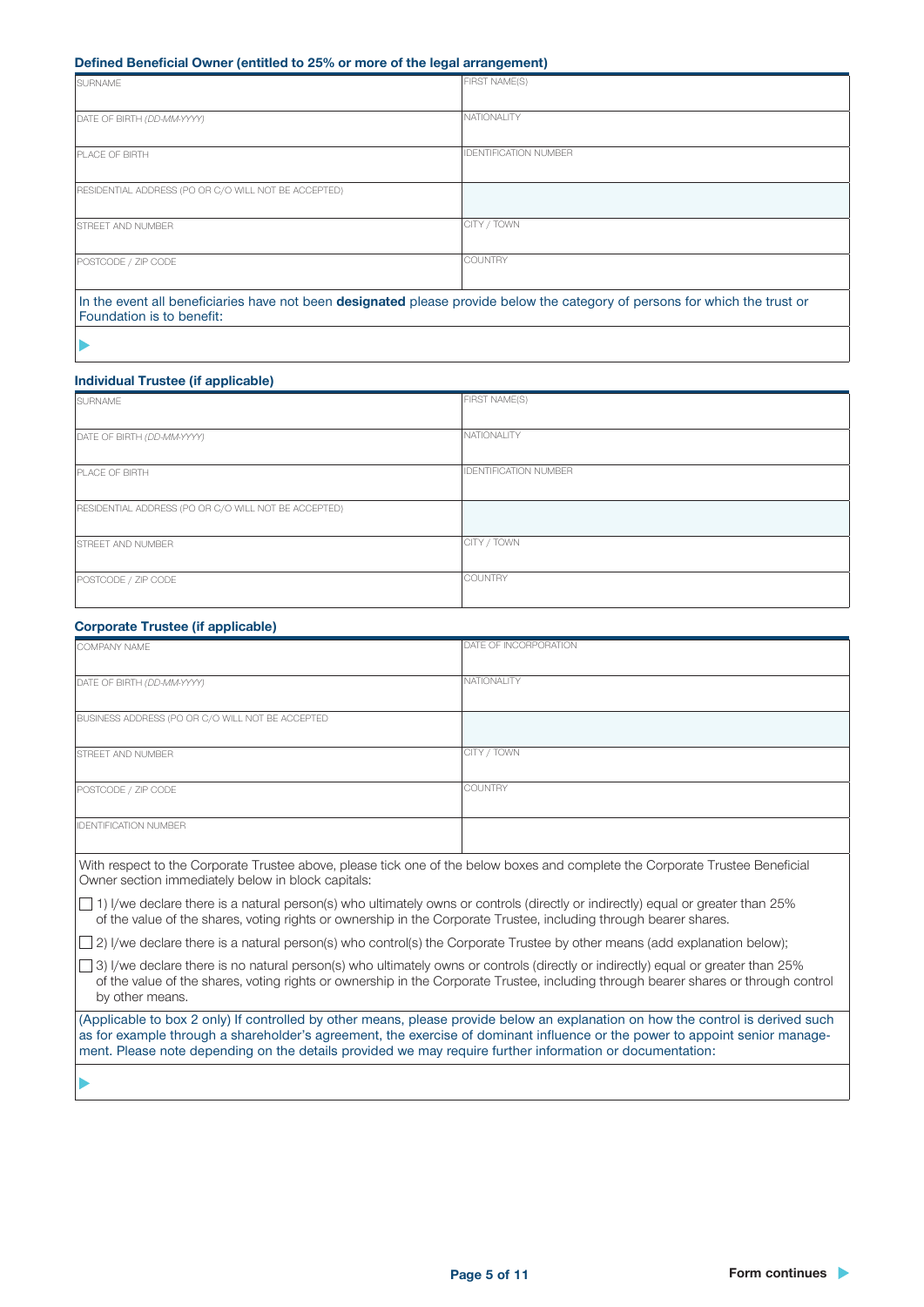### Defined Beneficial Owner (entitled to 25% or more of the legal arrangement)

| <b>SURNAME</b>                                                                                                                                           | <b>FIRST NAME(S)</b>         |
|----------------------------------------------------------------------------------------------------------------------------------------------------------|------------------------------|
|                                                                                                                                                          |                              |
| DATE OF BIRTH (DD-MM-YYYY)                                                                                                                               | NATIONALITY                  |
|                                                                                                                                                          |                              |
| <b>PLACE OF BIRTH</b>                                                                                                                                    | <b>IDENTIFICATION NUMBER</b> |
| RESIDENTIAL ADDRESS (PO OR C/O WILL NOT BE ACCEPTED)                                                                                                     |                              |
| <b>STREET AND NUMBER</b>                                                                                                                                 | CITY / TOWN                  |
| POSTCODE / ZIP CODE                                                                                                                                      | COUNTRY                      |
| In the event all beneficiaries have not been designated please provide below the category of persons for which the trust or<br>Foundation is to benefit: |                              |

### $\blacktriangleright$

### Individual Trustee (if applicable)

| SURNAME                                              | FIRST NAME(S)                |
|------------------------------------------------------|------------------------------|
|                                                      |                              |
| DATE OF BIRTH (DD-MM-YYYY)                           | NATIONALITY                  |
|                                                      |                              |
| PLACE OF BIRTH                                       | <b>IDENTIFICATION NUMBER</b> |
|                                                      |                              |
| RESIDENTIAL ADDRESS (PO OR C/O WILL NOT BE ACCEPTED) |                              |
|                                                      |                              |
| <b>STREET AND NUMBER</b>                             | CITY / TOWN                  |
|                                                      |                              |
| POSTCODE / ZIP CODE                                  | <b>COUNTRY</b>               |
|                                                      |                              |

### Corporate Trustee (if applicable)

| our porate in astee in applicable,                                                                                                                                                                                                                                                                                                                                         |                       |  |
|----------------------------------------------------------------------------------------------------------------------------------------------------------------------------------------------------------------------------------------------------------------------------------------------------------------------------------------------------------------------------|-----------------------|--|
| COMPANY NAME                                                                                                                                                                                                                                                                                                                                                               | DATE OF INCORPORATION |  |
| DATE OF BIRTH (DD-MM-YYYY)                                                                                                                                                                                                                                                                                                                                                 | <b>NATIONALITY</b>    |  |
| BUSINESS ADDRESS (PO OR C/O WILL NOT BE ACCEPTED                                                                                                                                                                                                                                                                                                                           |                       |  |
| STREET AND NUMBER                                                                                                                                                                                                                                                                                                                                                          | CITY / TOWN           |  |
| POSTCODE / ZIP CODE                                                                                                                                                                                                                                                                                                                                                        | <b>COUNTRY</b>        |  |
| <b>IDENTIFICATION NUMBER</b>                                                                                                                                                                                                                                                                                                                                               |                       |  |
| With respect to the Corporate Trustee above, please tick one of the below boxes and complete the Corporate Trustee Beneficial<br>Owner section immediately below in block capitals:                                                                                                                                                                                        |                       |  |
| $\vert$ 1) I/we declare there is a natural person(s) who ultimately owns or controls (directly or indirectly) equal or greater than 25%<br>of the value of the shares, voting rights or ownership in the Corporate Trustee, including through bearer shares.                                                                                                               |                       |  |
| $\vert$ 2) I/we declare there is a natural person(s) who control(s) the Corporate Trustee by other means (add explanation below);                                                                                                                                                                                                                                          |                       |  |
| 3) I/we declare there is no natural person(s) who ultimately owns or controls (directly or indirectly) equal or greater than 25%<br>of the value of the shares, voting rights or ownership in the Corporate Trustee, including through bearer shares or through control<br>by other means.                                                                                 |                       |  |
| (Applicable to box 2 only) If controlled by other means, please provide below an explanation on how the control is derived such<br>as for example through a shareholder's agreement, the exercise of dominant influence or the power to appoint senior manage-<br>ment. Please note depending on the details provided we may require further information or documentation: |                       |  |
|                                                                                                                                                                                                                                                                                                                                                                            |                       |  |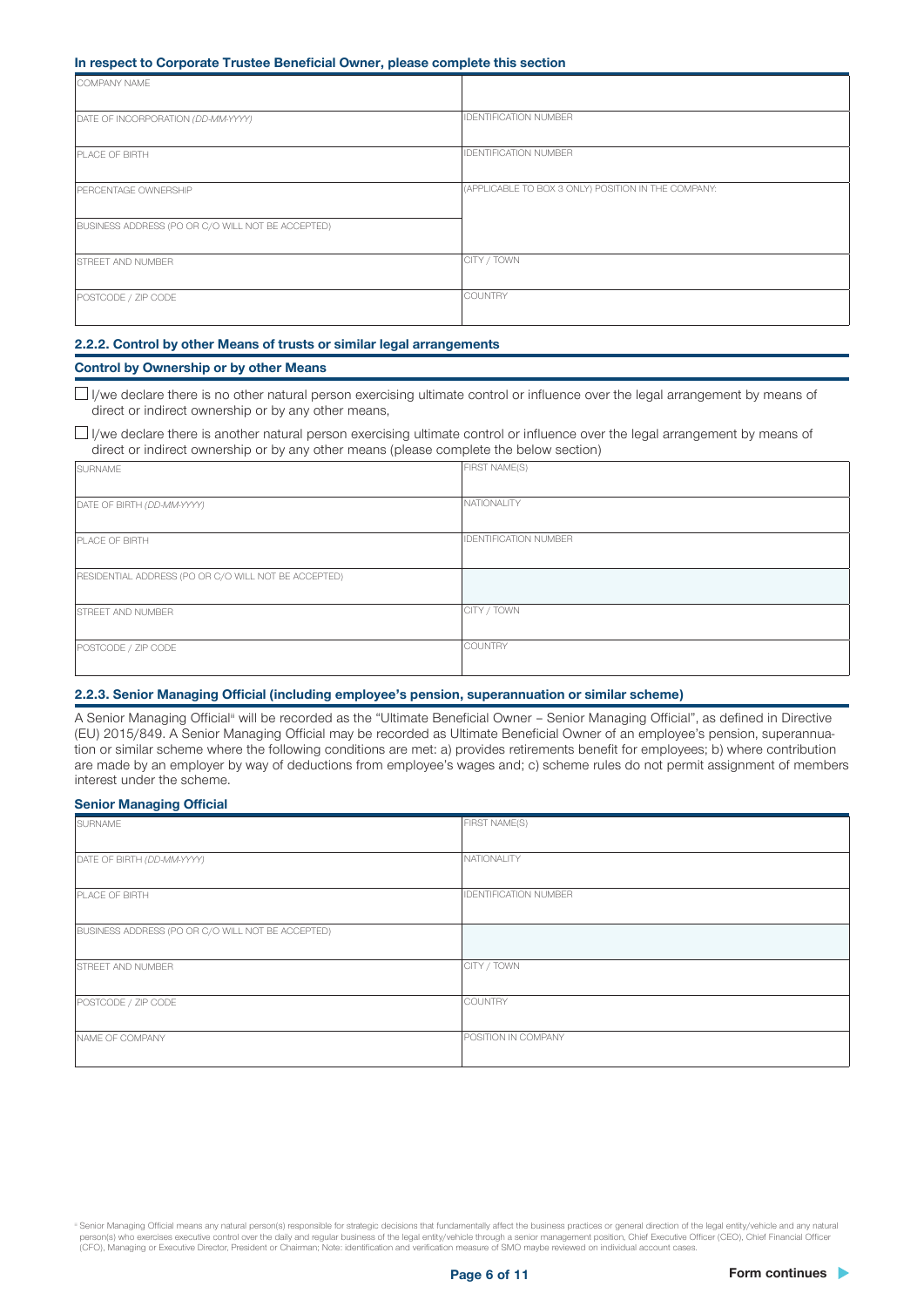### In respect to Corporate Trustee Beneficial Owner, please complete this section

| . .                                               |                                                     |
|---------------------------------------------------|-----------------------------------------------------|
| COMPANY NAME                                      |                                                     |
| DATE OF INCORPORATION (DD-MM-YYYY)                | <b>IDENTIFICATION NUMBER</b>                        |
| PLACE OF BIRTH                                    | <b>IDENTIFICATION NUMBER</b>                        |
| PERCENTAGE OWNERSHIP                              | (APPLICABLE TO BOX 3 ONLY) POSITION IN THE COMPANY: |
| BUSINESS ADDRESS (PO OR C/O WILL NOT BE ACCEPTED) |                                                     |
| <b>STREET AND NUMBER</b>                          | CITY / TOWN                                         |
| POSTCODE / ZIP CODE                               | COUNTRY                                             |

### 2.2.2. Control by other Means of trusts or similar legal arrangements

### Control by Ownership or by other Means

 $\Box$  I/we declare there is no other natural person exercising ultimate control or influence over the legal arrangement by means of direct or indirect ownership or by any other means,

 $\Box$  I/we declare there is another natural person exercising ultimate control or influence over the legal arrangement by means of direct or indirect ownership or by any other means (please complete the below section)

| SURNAME                                              | FIRST NAME(S)                |
|------------------------------------------------------|------------------------------|
|                                                      |                              |
| DATE OF BIRTH (DD-MM-YYYY)                           | NATIONALITY                  |
|                                                      |                              |
| PLACE OF BIRTH                                       | <b>IDENTIFICATION NUMBER</b> |
|                                                      |                              |
| RESIDENTIAL ADDRESS (PO OR C/O WILL NOT BE ACCEPTED) |                              |
|                                                      |                              |
| <b>STREET AND NUMBER</b>                             | CITY / TOWN                  |
|                                                      |                              |
| POSTCODE / ZIP CODE                                  | <b>COUNTRY</b>               |
|                                                      |                              |

### 2.2.3. Senior Managing Official (including employee's pension, superannuation or similar scheme)

A Senior Managing Official<sup>ii</sup> will be recorded as the "Ultimate Beneficial Owner - Senior Managing Official", as defined in Directive (EU) 2015/849. A Senior Managing Official may be recorded as Ultimate Beneficial Owner of an employee's pension, superannuation or similar scheme where the following conditions are met: a) provides retirements benefit for employees; b) where contribution are made by an employer by way of deductions from employee's wages and; c) scheme rules do not permit assignment of members interest under the scheme.

### Senior Managing Official

| <b>SURNAME</b>                                    | FIRST NAME(S)                |
|---------------------------------------------------|------------------------------|
| DATE OF BIRTH (DD-MM-YYYY)                        | NATIONALITY                  |
| <b>PLACE OF BIRTH</b>                             | <b>IDENTIFICATION NUMBER</b> |
| BUSINESS ADDRESS (PO OR C/O WILL NOT BE ACCEPTED) |                              |
| <b>STREET AND NUMBER</b>                          | CITY / TOWN                  |
| POSTCODE / ZIP CODE                               | <b>COUNTRY</b>               |
| NAME OF COMPANY                                   | POSITION IN COMPANY          |

iii Senior Managing Official means any natural person(s) responsible for strategic decisions that fundamentally affect the business practices or general direction of the legal entity/vehicle and any natural person(s) who exercises executive control over the daily and regular business of the legal entity/vehicle through a senior management position, Chief Executive Officer (CEO), Chief Financial Officer<br>(CFO), Managing or Exec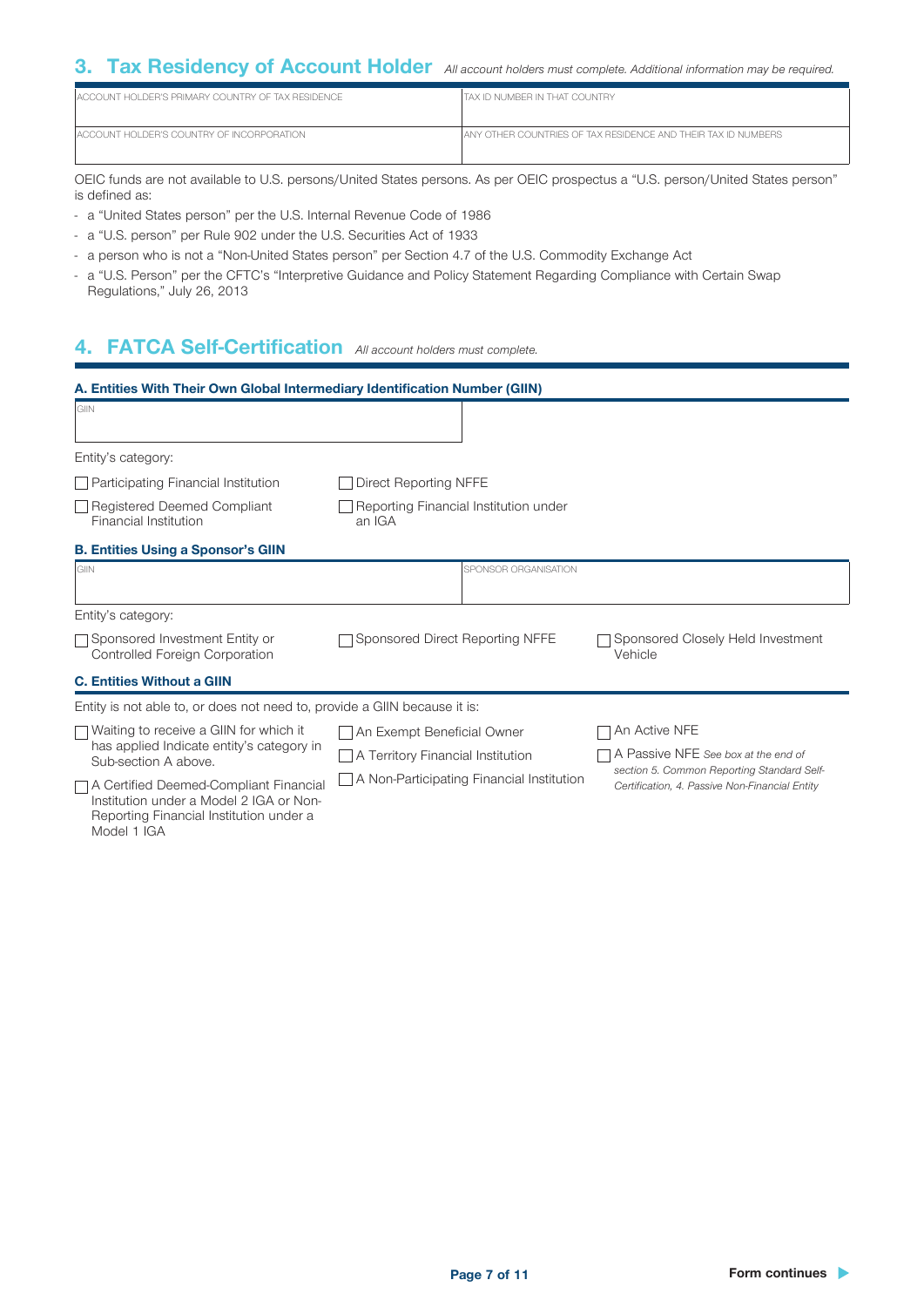### 3. Tax Residency of Account Holder *All account holders must complete. Additional information may be required.*

| LACCOUNT HOLDER'S PRIMARY COUNTRY OF TAX RESIDENCE | ITAX ID NUMBER IN THAT COUNTRY                                  |
|----------------------------------------------------|-----------------------------------------------------------------|
| LACCOUNT HOLDER'S COUNTRY OF INCORPORATION         | I ANY OTHER COUNTRIES OF TAX RESIDENCE AND THEIR TAX ID NUMBERS |

OEIC funds are not available to U.S. persons/United States persons. As per OEIC prospectus a "U.S. person/United States person" is defined as:

- a "United States person" per the U.S. Internal Revenue Code of 1986
- a "U.S. person" per Rule 902 under the U.S. Securities Act of 1933
- a person who is not a "Non-United States person" per Section 4.7 of the U.S. Commodity Exchange Act
- a "U.S. Person" per the CFTC's "Interpretive Guidance and Policy Statement Regarding Compliance with Certain Swap Regulations," July 26, 2013

### 4. FATCA Self-Certification *All account holders must complete.*

| A. Entities With Their Own Global Intermediary Identification Number (GIIN)                                                                   |                                                  |                                                                                              |
|-----------------------------------------------------------------------------------------------------------------------------------------------|--------------------------------------------------|----------------------------------------------------------------------------------------------|
| GIIN                                                                                                                                          |                                                  |                                                                                              |
| Entity's category:                                                                                                                            |                                                  |                                                                                              |
| $\Box$ Participating Financial Institution                                                                                                    | Direct Reporting NFFE                            |                                                                                              |
| Registered Deemed Compliant<br>Financial Institution                                                                                          | Reporting Financial Institution under<br>an IGA  |                                                                                              |
| <b>B. Entities Using a Sponsor's GIIN</b>                                                                                                     |                                                  |                                                                                              |
| <b>GIN</b>                                                                                                                                    | SPONSOR ORGANISATION                             |                                                                                              |
| Entity's category:                                                                                                                            |                                                  |                                                                                              |
| □ Sponsored Investment Entity or<br><b>Controlled Foreign Corporation</b>                                                                     | Sponsored Direct Reporting NFFE                  | Sponsored Closely Held Investment<br>Vehicle                                                 |
| <b>C. Entities Without a GIIN</b>                                                                                                             |                                                  |                                                                                              |
| Entity is not able to, or does not need to, provide a GIIN because it is:                                                                     |                                                  |                                                                                              |
| $\Box$ Waiting to receive a GIIN for which it                                                                                                 | An Exempt Beneficial Owner                       | An Active NFE                                                                                |
| has applied Indicate entity's category in<br>Sub-section A above.                                                                             | $\Box$ A Territory Financial Institution         | A Passive NFE See box at the end of                                                          |
| □ A Certified Deemed-Compliant Financial<br>Institution under a Model 2 IGA or Non-<br>Reporting Financial Institution under a<br>Model 1 IGA | $\Box$ A Non-Participating Financial Institution | section 5. Common Reporting Standard Self-<br>Certification, 4. Passive Non-Financial Entity |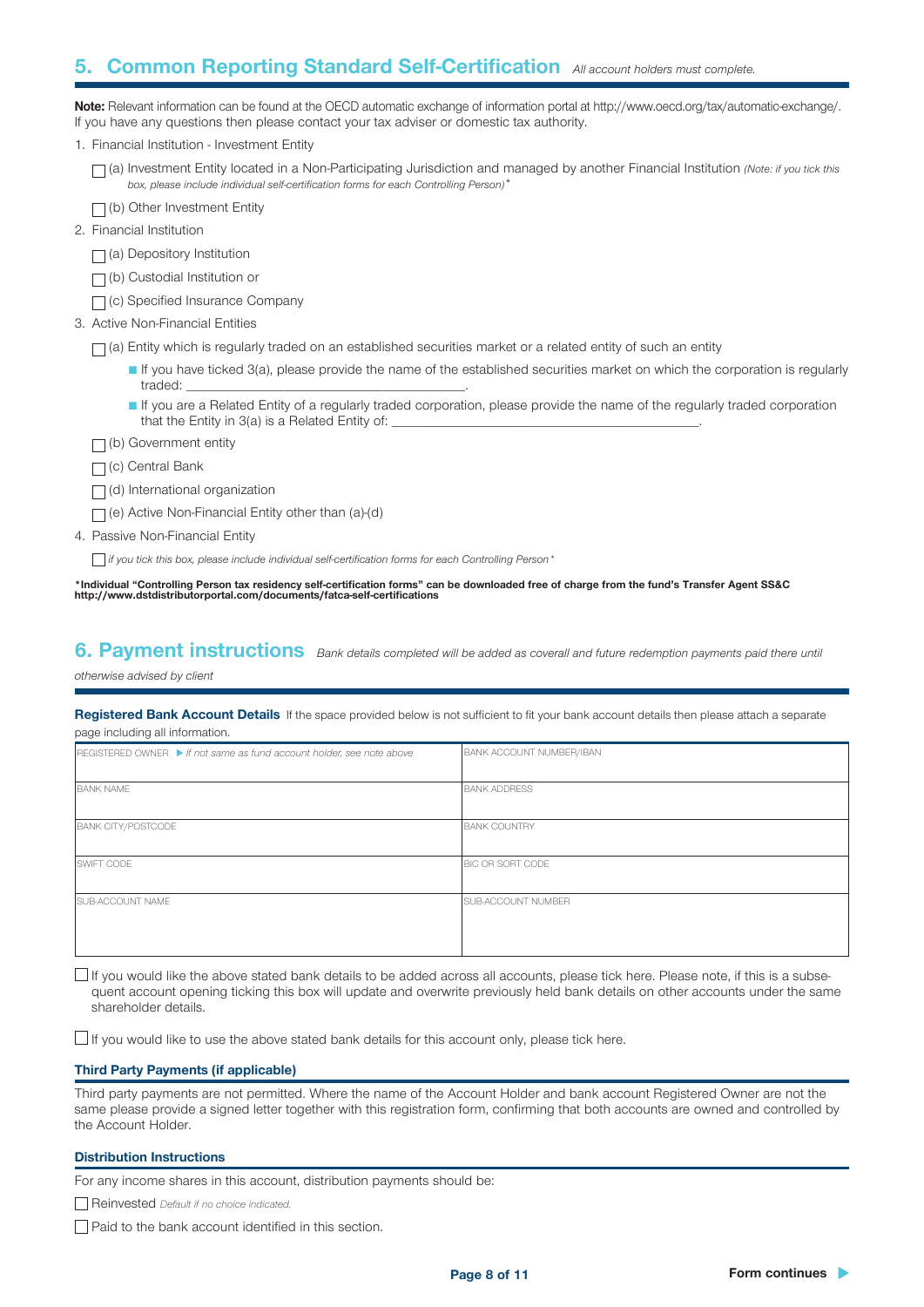### 5. Common Reporting Standard Self-Certification *All account holders must complete.*

Note: Relevant information can be found at the OECD automatic exchange of information portal at http://www.oecd.org/tax/automatic-exchange/. If you have any questions then please contact your tax adviser or domestic tax authority.

|  |  | 1. Financial Institution - Investment Entity |  |  |
|--|--|----------------------------------------------|--|--|
|--|--|----------------------------------------------|--|--|

(a) Investment Entity located in a Non-Participating Jurisdiction and managed by another Financial Institution *(Note: if you tick this box, please include individual self-certification forms for each Controlling Person)*\*

|  |  |  |  | $\neg$ (b) Other Investment Entity |  |
|--|--|--|--|------------------------------------|--|
|--|--|--|--|------------------------------------|--|

2. Financial Institution

 $\Box$ (a) Depository Institution

□ (b) Custodial Institution or

(c) Specified Insurance Company

3. Active Non-Financial Entities

 $\Box$  (a) Entity which is regularly traded on an established securities market or a related entity of such an entity

■ If you have ticked 3(a), please provide the name of the established securities market on which the corporation is regularly traded:

■ If you are a Related Entity of a regularly traded corporation, please provide the name of the regularly traded corporation that the Entity in 3(a) is a Related Entity of:

 $\Box$ (b) Government entity

 $\Box$  (c) Central Bank

 $\Box$ (d) International organization

 $\Box$  (e) Active Non-Financial Entity other than (a)-(d)

4. Passive Non-Financial Entity

 *if you tick this box, please include individual self-certification forms for each Controlling Person\**

\*Individual "Controlling Person tax residency self-certification forms" can be downloaded free of charge from the fund's Transfer Agent SS&C http://www.dstdistributorportal.com/documents/fatca-self-certifications

6. Payment instructions *Bank details completed will be added as coverall and future redemption payments paid there until* 

*otherwise advised by client*

Registered Bank Account Details If the space provided below is not sufficient to fit your bank account details then please attach a separate page including all information.

| REGISTERED OWNER If not same as fund account holder, see note above | <b>BANK ACCOUNT NUMBER/IBAN</b> |
|---------------------------------------------------------------------|---------------------------------|
| <b>BANK NAME</b>                                                    | <b>BANK ADDRESS</b>             |
| <b>BANK CITY/POSTCODE</b>                                           | <b>BANK COUNTRY</b>             |
| SWIFT CODE                                                          | <b>BIC OR SORT CODE</b>         |
| <b>SUB-ACCOUNT NAME</b>                                             | <b>SUB-ACCOUNT NUMBER</b>       |

 $\Box$  If you would like the above stated bank details to be added across all accounts, please tick here. Please note, if this is a subsequent account opening ticking this box will update and overwrite previously held bank details on other accounts under the same shareholder details.

 $\Box$  If you would like to use the above stated bank details for this account only, please tick here.

### Third Party Payments (if applicable)

Third party payments are not permitted. Where the name of the Account Holder and bank account Registered Owner are not the same please provide a signed letter together with this registration form, confirming that both accounts are owned and controlled by the Account Holder.

#### Distribution Instructions

For any income shares in this account, distribution payments should be:

Reinvested *Default if no choice indicated.*

 $\Box$  Paid to the bank account identified in this section.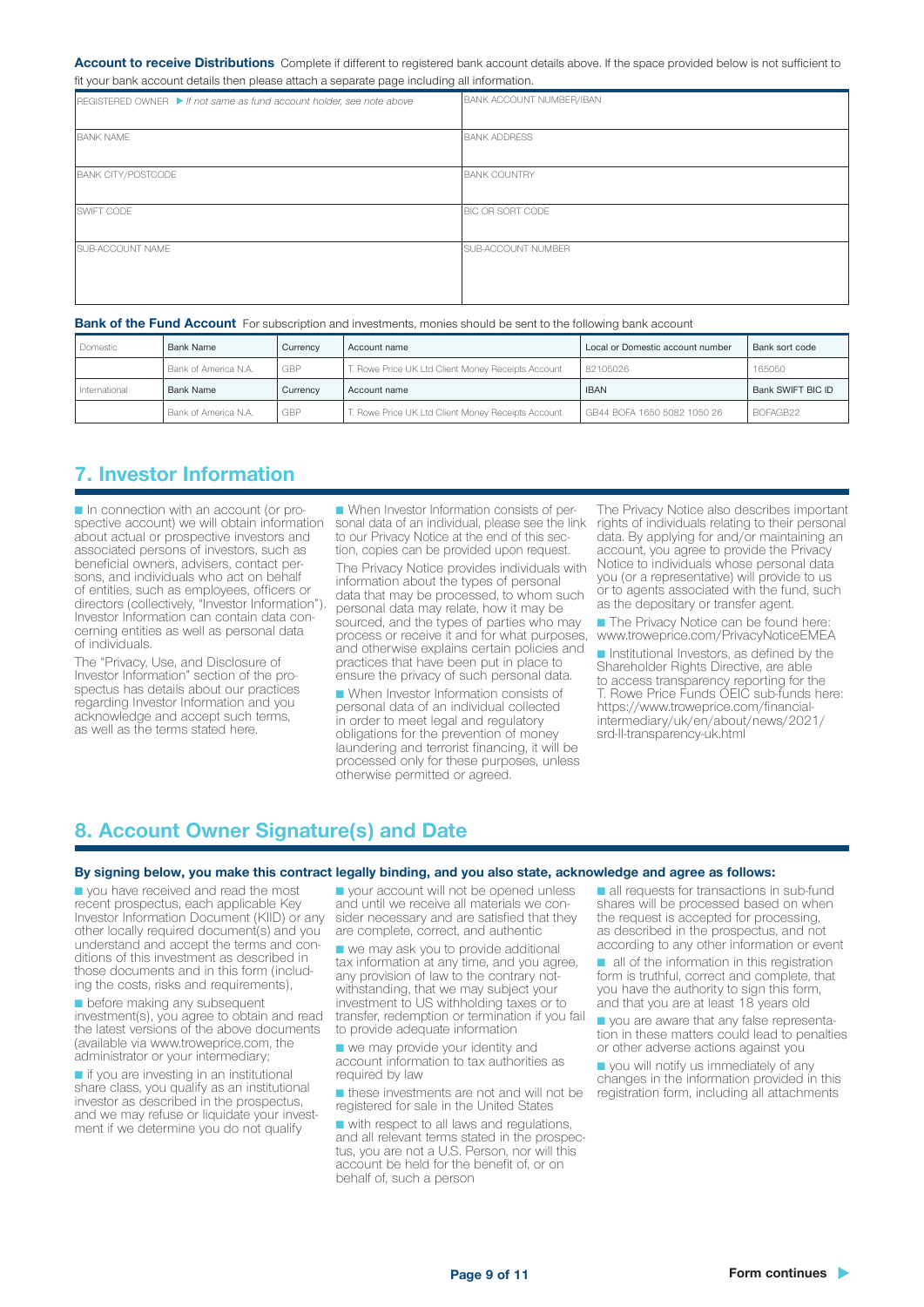#### Account to receive Distributions Complete if different to registered bank account details above. If the space provided below is not sufficient to fit your bank account details then please attach a separate page including all information.

| $REGISTERED OWNER$ If not same as fund account holder, see note above | <b>BANK ACCOUNT NUMBER/IBAN</b> |
|-----------------------------------------------------------------------|---------------------------------|
| <b>BANK NAME</b>                                                      | <b>BANK ADDRESS</b>             |
| <b>BANK CITY/POSTCODE</b>                                             | <b>BANK COUNTRY</b>             |
| SWIFT CODE                                                            | BIC OR SORT CODE                |
| SUB-ACCOUNT NAME                                                      | <b>SUB-ACCOUNT NUMBER</b>       |

#### Bank of the Fund Account For subscription and investments, monies should be sent to the following bank account

| Domestic      | Bank Name            | Currency | Account name                                       | Local or Domestic account number | Bank sort code    |
|---------------|----------------------|----------|----------------------------------------------------|----------------------------------|-------------------|
|               | Bank of America N.A. | GBP      | T. Rowe Price UK Ltd Client Money Receipts Account | 82105026                         | 165050            |
| International | Bank Name            | Currency | Account name                                       | <b>IBAN</b>                      | Bank SWIFT BIC ID |
|               | Bank of America N.A. | GBP      | F. Rowe Price UK Ltd Client Money Receipts Account | GB44 BOFA 1650 5082 1050 26      | BOFAGB22          |

### 7. Investor Information

■ In connection with an account (or pro-<br>spective account) we will obtain information about actual or prospective investors and associated persons of investors, such as beneficial owners, advisers, contact per- sons, and individuals who act on behalf of entities, such as employees, officers or directors (collectively, "Investor Information").<br>Investor Information can contain data concerning entities as well as personal data of individuals.

The "Privacy, Use, and Disclosure of<br>Investor Information" section of the prospectus has details about our practices regarding Investor Information and you acknowledge and accept such terms, as well as the terms stated here.

■ When Investor Information consists of personal data of an individual, please see the link to our Privacy Notice at the end of this sec tion, copies can be provided upon request. The Privacy Notice provides individuals with information about the types of personal data that may be processed, to whom such personal data may relate, how it may be sourced, and the types of parties who may process or receive it and for what purposes, and otherwise explains certain policies and practices that have been put in place to ensure the privacy of such personal data.

■ When Investor Information consists of personal data of an individual collected in order to meet legal and regulatory obligations for the prevention of money laundering and terrorist financing, it will be processed only for these purposes, unless otherwise permitted or agreed.

The Privacy Notice also describes important rights of individuals relating to their personal data. By applying for and/or maintaining an account, you agree to provide the Privacy Notice to individuals whose personal data you (or a representative) will provide to us or to agents associated with the fund, such as the depositary or transfer agent.

■ The Privacy Notice can be found here: www.troweprice.com/PrivacyNoticeEMEA

■ Institutional Investors, as defined by the Shareholder Rights Directive, are able to access transparency reporting for the T. Rowe Price Funds OEIC sub-funds here: https://www.troweprice.com/financialintermediary/uk/en/about/news/2021/ srd-II-transparency-uk.html

### 8. Account Owner Signature(s) and Date

#### By signing below, you make this contract legally binding, and you also state, acknowledge and agree as follows:

■ you have received and read the most recent prospectus, each applicable Key Investor Information Document (KIID) or any other locally required document(s) and you<br>understand and accept the terms and conditions of this investment as described in those documents and in this form (includ- ing the costs, risks and requirements),

■ before making any subsequent investment(s), you agree to obtain and read the latest versions of the above documents (available via www.troweprice.com, the administrator or your intermediary;

■ if you are investing in an institutional share class, you qualify as an institutional investor as described in the prospectus, ment if we determine you do not qualify

■ your account will not be opened unless and until we receive all materials we con- sider necessary and are satisfied that they are complete, correct, and authentic

■ we may ask you to provide additional tax information at any time, and you agree, any provision of law to the contrary notwithstanding, that we may subject your investment to US withholding taxes or to transfer, redemption or termination if you fail to provide adequate information

■ we may provide your identity and account information to tax authorities as required by law

■ these investments are not and will not be registered for sale in the United States

■ with respect to all laws and regulations,<br>and all relevant terms stated in the prospectus, you are not a U.S. Person, nor will this account be held for the benefit of, or on behalf of, such a person

■ all requests for transactions in sub-fund shares will be processed based on when the request is accepted for processing, as described in the prospectus, and not according to any other information or event

■ all of the information in this registration form is truthful, correct and complete, that you have the authority to sign this form, and that you are at least 18 years old

■ you are aware that any false representa- tion in these matters could lead to penalties or other adverse actions against you

■ you will notify us immediately of any changes in the information provided in this registration form, including all attachments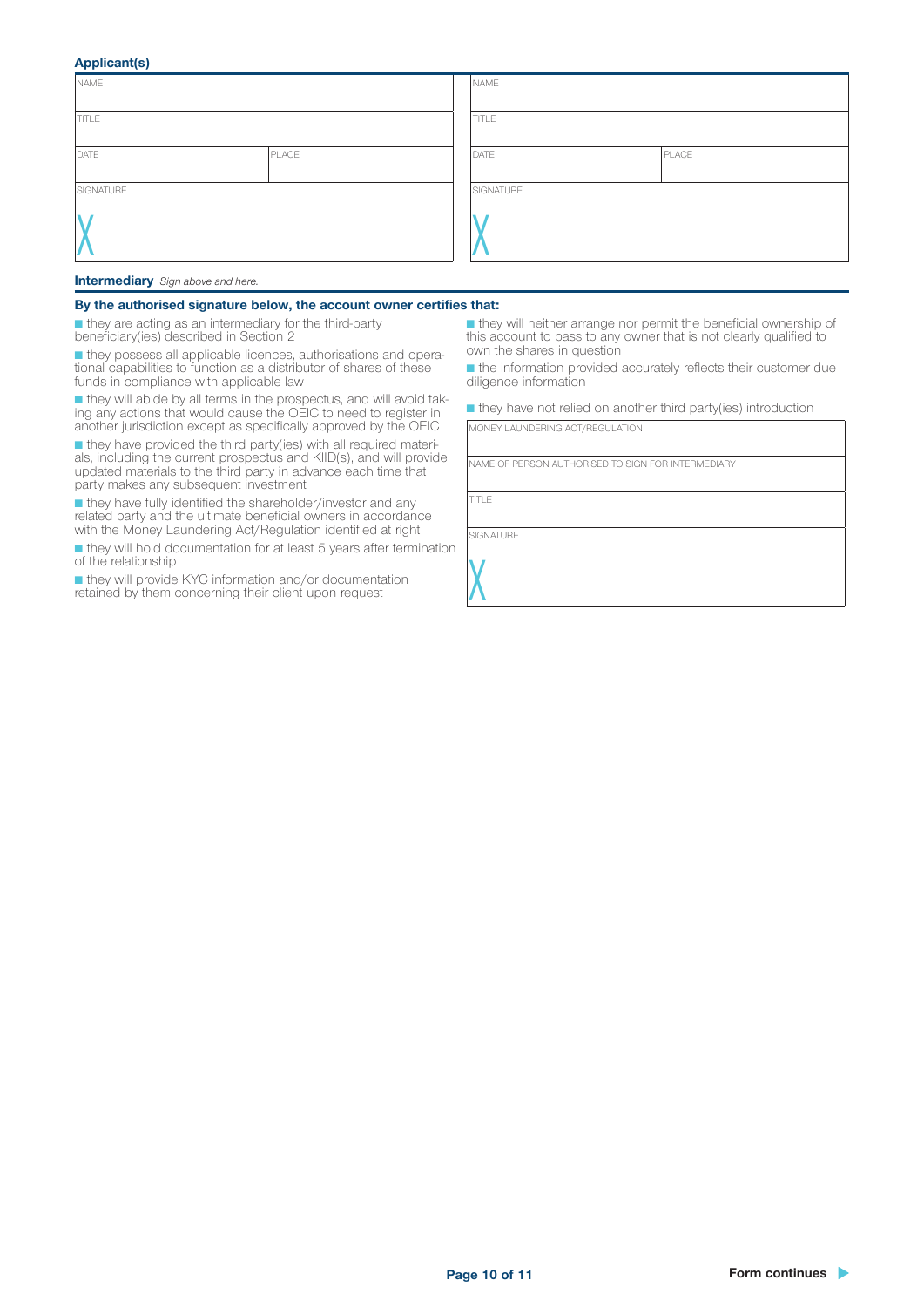### Applicant(s)

| NAME          |  | NAME      |       |
|---------------|--|-----------|-------|
| <b>TITLE</b>  |  | TITLE     |       |
| DATE<br>PLACE |  | DATE      | PLACE |
| SIGNATURE     |  | SIGNATURE |       |
|               |  |           |       |

#### Intermediary *Sign above and here.*

#### By the authorised signature below, the account owner certifies that:

■ they are acting as an intermediary for the third-party beneficiary(ies) described in Section 2

■ they possess all applicable licences, authorisations and opera- tional capabilities to function as a distributor of shares of these funds in compliance with applicable law

■ they will abide by all terms in the prospectus, and will avoid tak- ing any actions that would cause the OEIC to need to register in another jurisdiction except as specifically approved by the OEIC

■ they have provided the third party(ies) with all required materi- als, including the current prospectus and KIID(s), and will provide updated materials to the third party in advance each time that party makes any subsequent investment

■ they have fully identified the shareholder/investor and any related party and the ultimate beneficial owners in accordance with the Money Laundering Act/Regulation identified at right

■ they will hold documentation for at least 5 years after termination of the relationship

■ they will provide KYC information and/or documentation retained by them concerning their client upon request

■ they will neither arrange nor permit the beneficial ownership of this account to pass to any owner that is not clearly qualified to own the shares in question

■ the information provided accurately reflects their customer due diligence information

■ they have not relied on another third party(ies) introduction

MONEY LAUNDERING ACT/REGULATION

NAME OF PERSON AUTHORISED TO SIGN FOR INTERMEDIARY

TITLE

**SIGNATURE** 

 $\lambda$